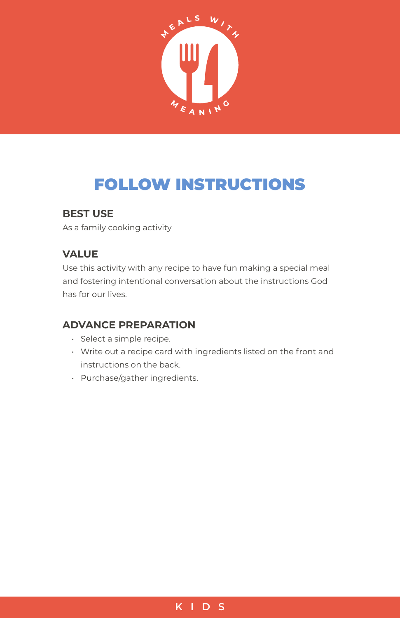

# FOLLOW INSTRUCTIONS

### **BEST USE**

As a family cooking activity

## **VALUE**

Use this activity with any recipe to have fun making a special meal and fostering intentional conversation about the instructions God has for our lives.

## **ADVANCE PREPARATION**

- Select a simple recipe.
- Write out a recipe card with ingredients listed on the front and instructions on the back.
- Purchase/gather ingredients.